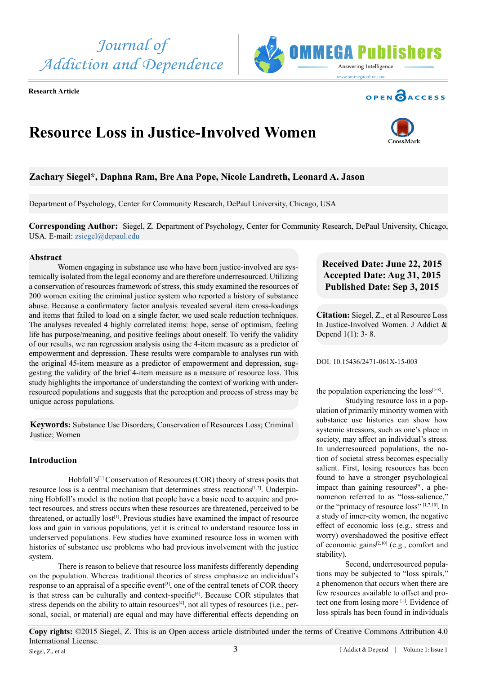J Addict & Depend | Volume 1: Issue 1 **Copy rights:** ©2015 Siegel, Z. This is an Open access article distributed under the terms of Creative Commons Attribution 4.0 International License. 3 Siegel, Z., et al

## **Abstract**

Women engaging in substance use who have been justice-involved are systemically isolated from the legal economy and are therefore underresourced. Utilizing a conservation of resources framework of stress, this study examined the resources of 200 women exiting the criminal justice system who reported a history of substance abuse. Because a confirmatory factor analysis revealed several item cross-loadings and items that failed to load on a single factor, we used scale reduction techniques. The analyses revealed 4 highly correlated items: hope, sense of optimism, feeling life has purpose/meaning, and positive feelings about oneself. To verify the validity of our results, we ran regression analysis using the 4-item measure as a predictor of empowerment and depression. These results were comparable to analyses run with the original 45-item measure as a predictor of empowerment and depression, suggesting the validity of the brief 4-item measure as a measure of resource loss. This study highlights the importance of understanding the context of working with underresourced populations and suggests that the perception and process of stress may be unique across populations.

**Keywords:** Substance Use Disorders; Conservation of Resources Loss; Criminal Justice; Women

## **Introduction**

Hobfoll's<sup>[\[1\]](#page-4-0)</sup> Conservation of Resources (COR) theory of stress posits that resource loss is a central mechanism that determines stress reactions<sup>[\[1,2\]](#page-4-0)</sup>. Underpinning Hobfoll's model is the notion that people have a basic need to acquire and protect resources, and stress occurs when these resources are threatened, perceived to be threatened, or actually lost<sup>[1]</sup>. Previous studies have examined the impact of resource loss and gain in various populations, yet it is critical to understand resource loss in underserved populations. Few studies have examined resource loss in women with histories of substance use problems who had previous involvement with the justice system.

There is reason to believe that resource loss manifests differently depending on the population. Whereas traditional theories of stress emphasize an individual's response to an appraisal of a specific event<sup>[\[3\]](#page-4-1)</sup>, one of the central tenets of COR theory is that stress can be culturally and context-specific<sup>[\[4\]](#page-4-2)</sup>. Because COR stipulates that stress depends on the ability to attain resources<sup>[4]</sup>, not all types of resources (i.e., personal, social, or material) are equal and may have differential effects depending on

# **Received Date: June 22, 2015 Accepted Date: Aug 31, 2015 Published Date: Sep 3, 2015**

**Citation:** Siegel, Z., et al Resource Loss In Justice-Involved Women. J Addict & Depend 1(1): 3- 8.

DOI: [10.15436/2471-061X-15-0](http://www.dx.doi.org/10.15436/2477-061X.15.003)03

the population experiencing the  $loss^{[5-8]}$ . Studying resource loss in a pop-

ulation of primarily minority women with substance use histories can show how systemic stressors, such as one's place in society, may affect an individual's stress. In underresourced populations, the notion of societal stress becomes especially salient. First, losing resources has been found to have a stronger psychological impact than gaining resources $[9]$ , a phenomenon referred to as "loss-salience," or the "primacy of resource loss" [\[1,7,10\]](#page-4-5). In a study of inner-city women, the negative effect of economic loss (e.g., stress and worry) overshadowed the positive effect of economic gains $[2,10]$  (e.g., comfort and stability).

Second, underresourced populations may be subjected to "loss spirals," a phenomenon that occurs when there are few resources available to offset and protect one from losing more [\[1\].](#page-4-0) Evidence of loss spirals has been found in individuals

# **Resource Loss in Justice-Involved Women**

# **Zachary Siegel\*, Daphna Ram, Bre Ana Pope, Nicole Landreth, Leonard A. Jason**

Department of Psychology, Center for Community Research, DePaul University, Chicago, USA

**Corresponding Author:** Siegel, Z. Department of Psychology, Center for Community Research, DePaul University, Chicago, USA. E-mail: [zsiegel@depaul.edu](mailto:zsiegel@depaul.edu)

# *Journal of Addiction and Dependence*

**Research Article**





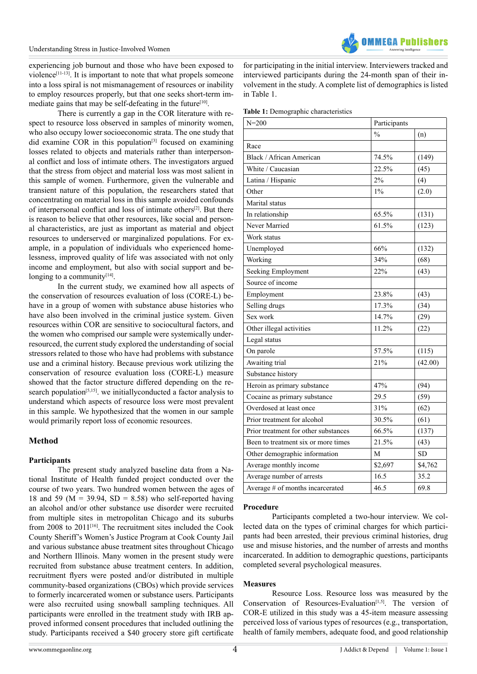

experiencing job burnout and those who have been exposed to violence<sup>[\[11-13\]](#page-5-1)</sup>. It is important to note that what propels someone into a loss spiral is not mismanagement of resources or inability to employ resources properly, but that one seeks short-term immediate gains that may be self-defeating in the future<sup>[10]</sup>.

There is currently a gap in the COR literature with respect to resource loss observed in samples of minority women, who also occupy lower socioeconomic strata. The one study that did examine COR in this population<sup>[3]</sup> focused on examining losses related to objects and materials rather than interpersonal conflict and loss of intimate others. The investigators argued that the stress from object and material loss was most salient in this sample of women. Furthermore, given the vulnerable and transient nature of this population, the researchers stated that concentrating on material loss in this sample avoided confounds of interpersonal conflict and loss of intimate others[\[2\].](#page-4-6) But there is reason to believe that other resources, like social and personal characteristics, are just as important as material and object resources to underserved or marginalized populations. For example, in a population of individuals who experienced homelessness, improved quality of life was associated with not only income and employment, but also with social support and belonging to a community $[14]$ .

In the current study, we examined how all aspects of the conservation of resources evaluation of loss (CORE-L) behave in a group of women with substance abuse histories who have also been involved in the criminal justice system. Given resources within COR are sensitive to sociocultural factors, and the women who comprised our sample were systemically underresourced, the current study explored the understanding of social stressors related to those who have had problems with substance use and a criminal history. Because previous work utilizing the conservation of resource evaluation loss (CORE-L) measure showed that the factor structure differed depending on the research population<sup>[5,15]</sup>. we initially conducted a factor analysis to understand which aspects of resource loss were most prevalent in this sample. We hypothesized that the women in our sample would primarily report loss of economic resources.

### **Method**

#### **Participants**

The present study analyzed baseline data from a National Institute of Health funded project conducted over the course of two years. Two hundred women between the ages of 18 and 59 ( $M = 39.94$ ,  $SD = 8.58$ ) who self-reported having an alcohol and/or other substance use disorder were recruited from multiple sites in metropolitan Chicago and its suburbs from 2008 to 2011<sup>[\[16\]](#page-5-3)</sup>. The recruitment sites included the Cook County Sheriff's Women's Justice Program at Cook County Jail and various substance abuse treatment sites throughout Chicago and Northern Illinois. Many women in the present study were recruited from substance abuse treatment centers. In addition, recruitment flyers were posted and/or distributed in multiple community-based organizations (CBOs) which provide services to formerly incarcerated women or substance users. Participants were also recruited using snowball sampling techniques. All participants were enrolled in the treatment study with IRB approved informed consent procedures that included outlining the study. Participants received a \$40 grocery store gift certificate for participating in the initial interview. Interviewers tracked and interviewed participants during the 24-month span of their involvement in the study. A complete list of demographics is listed in Table 1.

|  |  |  | Table 1: Demographic characteristics |  |
|--|--|--|--------------------------------------|--|
|--|--|--|--------------------------------------|--|

| $N = 200$                            | Participants         |           |
|--------------------------------------|----------------------|-----------|
|                                      | $\frac{0}{0}$<br>(n) |           |
| Race                                 |                      |           |
| <b>Black / African American</b>      | 74.5%                | (149)     |
| White / Caucasian                    | 22.5%                | (45)      |
| Latina / Hispanic                    | 2%                   | (4)       |
| Other                                | 1%                   | (2.0)     |
| Marital status                       |                      |           |
| In relationship                      | 65.5%                | (131)     |
| Never Married                        | 61.5%                | (123)     |
| Work status                          |                      |           |
| Unemployed                           | 66%                  | (132)     |
| Working                              | 34%                  | (68)      |
| Seeking Employment                   | 22%                  | (43)      |
| Source of income                     |                      |           |
| Employment                           | 23.8%                | (43)      |
| Selling drugs                        | 17.3%                | (34)      |
| Sex work                             | 14.7%                | (29)      |
| Other illegal activities             | 11.2%                | (22)      |
| Legal status                         |                      |           |
| On parole                            | 57.5%                | (115)     |
| Awaiting trial                       | 21%                  | (42.00)   |
| Substance history                    |                      |           |
| Heroin as primary substance          | 47%                  | (94)      |
| Cocaine as primary substance         | 29.5                 | (59)      |
| Overdosed at least once              | 31%                  | (62)      |
| Prior treatment for alcohol          | 30.5%                | (61)      |
| Prior treatment for other substances | 66.5%                | (137)     |
| Been to treatment six or more times  | 21.5%                | (43)      |
| Other demographic information        | M                    | <b>SD</b> |
| Average monthly income               | \$2,697              | \$4,762   |
| Average number of arrests            | 16.5                 | 35.2      |
| Average # of months incarcerated     | 46.5                 | 69.8      |

#### **Procedure**

Participants completed a two-hour interview. We collected data on the types of criminal charges for which participants had been arrested, their previous criminal histories, drug use and misuse histories, and the number of arrests and months incarcerated. In addition to demographic questions, participants completed several psychological measures.

#### **Measures**

Resource Loss. Resource loss was measured by the Conservation of Resources-Evaluation<sup>[1,5]</sup>. The version of COR-E utilized in this study was a 45-item measure assessing perceived loss of various types of resources (e.g., transportation, health of family members, adequate food, and good relationship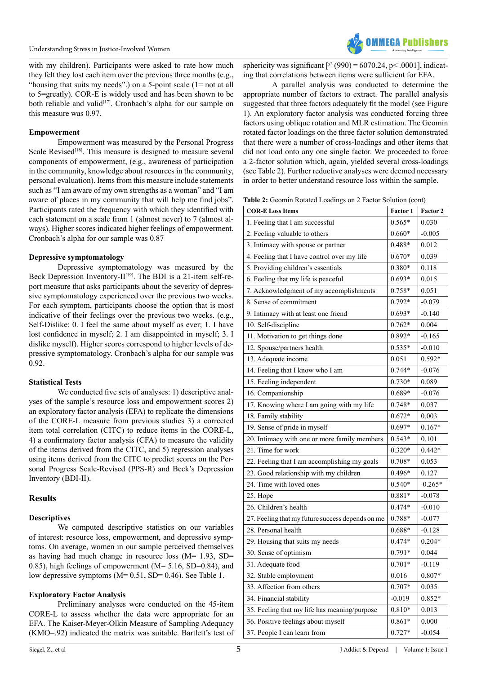

with my children). Participants were asked to rate how much they felt they lost each item over the previous three months (e.g., "housing that suits my needs".) on a 5-point scale  $(1=$  not at all to 5=greatly). COR-E is widely used and has been shown to be both reliable and valid<sup>[17]</sup>. Cronbach's alpha for our sample on this measure was 0.97.

### **Empowerment**

Empowerment was measured by the Personal Progress Scale Revised<sup>[18]</sup>. This measure is designed to measure several components of empowerment, (e.g., awareness of participation in the community, knowledge about resources in the community, personal evaluation). Items from this measure include statements such as "I am aware of my own strengths as a woman" and "I am aware of places in my community that will help me find jobs". Participants rated the frequency with which they identified with each statement on a scale from 1 (almost never) to 7 (almost always). Higher scores indicated higher feelings of empowerment. Cronbach's alpha for our sample was 0.87

#### **Depressive symptomatology**

Depressive symptomatology was measured by the Beck Depression Inventory- $II^{[19]}$  $II^{[19]}$  $II^{[19]}$ . The BDI is a 21-item self-report measure that asks participants about the severity of depressive symptomatology experienced over the previous two weeks. For each symptom, participants choose the option that is most indicative of their feelings over the previous two weeks. (e.g., Self-Dislike: 0. I feel the same about myself as ever; 1. I have lost confidence in myself; 2. I am disappointed in myself; 3. I dislike myself). Higher scores correspond to higher levels of depressive symptomatology. Cronbach's alpha for our sample was 0.92.

### **Statistical Tests**

We conducted five sets of analyses: 1) descriptive analyses of the sample's resource loss and empowerment scores 2) an exploratory factor analysis (EFA) to replicate the dimensions of the CORE-L measure from previous studies 3) a corrected item total correlation (CITC) to reduce items in the CORE-L, 4) a confirmatory factor analysis (CFA) to measure the validity of the items derived from the CITC, and 5) regression analyses using items derived from the CITC to predict scores on the Personal Progress Scale-Revised (PPS-R) and Beck's Depression Inventory (BDI-II).

### **Results**

### **Descriptives**

We computed descriptive statistics on our variables of interest: resource loss, empowerment, and depressive symptoms. On average, women in our sample perceived themselves as having had much change in resource loss (M= 1.93, SD= 0.85), high feelings of empowerment (M= 5.16, SD=0.84), and low depressive symptoms (M= 0.51, SD= 0.46). See Table 1.

### **Exploratory Factor Analysis**

Preliminary analyses were conducted on the 45-item CORE-L to assess whether the data were appropriate for an EFA. The Kaiser-Meyer-Olkin Measure of Sampling Adequacy (KMO=.92) indicated the matrix was suitable. Bartlett's test of

A parallel analysis was conducted to determine the appropriate number of factors to extract. The parallel analysis suggested that three factors adequately fit the model (see Figure 1). An exploratory factor analysis was conducted forcing three factors using oblique rotation and MLR estimation. The Geomin rotated factor loadings on the three factor solution demonstrated that there were a number of cross-loadings and other items that did not load onto any one single factor. We proceeded to force a 2-factor solution which, again, yielded several cross-loadings (see Table 2). Further reductive analyses were deemed necessary in order to better understand resource loss within the sample.

|  |  |  |  | Table 2: Geomin Rotated Loadings on 2 Factor Solution (cont) |  |  |
|--|--|--|--|--------------------------------------------------------------|--|--|
|--|--|--|--|--------------------------------------------------------------|--|--|

| <b>COR-E Loss Items</b>                          | Factor 1 | Factor 2 |
|--------------------------------------------------|----------|----------|
| 1. Feeling that I am successful                  | $0.565*$ | 0.030    |
| 2. Feeling valuable to others                    | $0.660*$ | $-0.005$ |
| 3. Intimacy with spouse or partner               | $0.488*$ | 0.012    |
| 4. Feeling that I have control over my life      | $0.670*$ | 0.039    |
| 5. Providing children's essentials               | $0.380*$ | 0.118    |
| 6. Feeling that my life is peaceful              | $0.693*$ | 0.015    |
| 7. Acknowledgment of my accomplishments          | $0.758*$ | 0.051    |
| 8. Sense of commitment                           | $0.792*$ | $-0.079$ |
| 9. Intimacy with at least one friend             | $0.693*$ | $-0.140$ |
| 10. Self-discipline                              | $0.762*$ | 0.004    |
| 11. Motivation to get things done                | $0.892*$ | $-0.165$ |
| 12. Spouse/partners health                       | $0.535*$ | $-0.010$ |
| 13. Adequate income                              | 0.051    | $0.592*$ |
| 14. Feeling that I know who I am                 | $0.744*$ | $-0.076$ |
| 15. Feeling independent                          | $0.730*$ | 0.089    |
| 16. Companionship                                | $0.689*$ | $-0.076$ |
| 17. Knowing where I am going with my life        | $0.748*$ | 0.037    |
| 18. Family stability                             | $0.672*$ | 0.003    |
| 19. Sense of pride in myself                     | $0.697*$ | $0.167*$ |
| 20. Intimacy with one or more family members     | $0.543*$ | 0.101    |
| 21. Time for work                                | $0.320*$ | $0.442*$ |
| 22. Feeling that I am accomplishing my goals     | $0.708*$ | 0.053    |
| 23. Good relationship with my children           | $0.496*$ | 0.127    |
| 24. Time with loved ones                         | $0.540*$ | $0.265*$ |
| 25. Hope                                         | 0.881*   | $-0.078$ |
| 26. Children's health                            | $0.474*$ | $-0.010$ |
| 27. Feeling that my future success depends on me | 0.788*   | $-0.077$ |
| 28. Personal health                              | $0.688*$ | $-0.128$ |
| 29. Housing that suits my needs                  | $0.474*$ | $0.204*$ |
| 30. Sense of optimism                            | $0.791*$ | 0.044    |
| 31. Adequate food                                | $0.701*$ | $-0.119$ |
| 32. Stable employment                            | 0.016    | 0.807*   |
| 33. Affection from others                        | $0.707*$ | 0.035    |
| 34. Financial stability                          | $-0.019$ | $0.852*$ |
| 35. Feeling that my life has meaning/purpose     | $0.810*$ | 0.013    |
| 36. Positive feelings about myself               | $0.861*$ | 0.000    |
| 37. People I can learn from                      | $0.727*$ | $-0.054$ |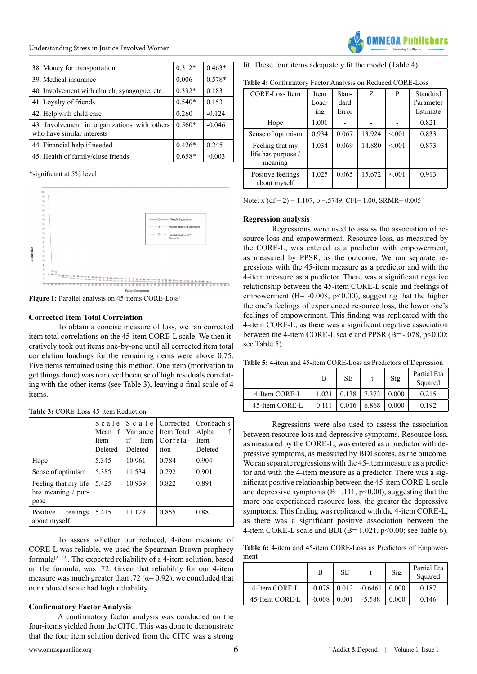Understanding Stress in Justice-Involved Women

| 38. Money for transportation                                               | $0.312*$ | $0.463*$ |
|----------------------------------------------------------------------------|----------|----------|
| 39. Medical insurance                                                      | 0.006    | $0.578*$ |
| 40. Involvement with church, synagogue, etc.                               | $0.332*$ | 0.183    |
| 41. Loyalty of friends                                                     | $0.540*$ | 0.153    |
| 42. Help with child care                                                   | 0.260    | $-0.124$ |
| 43. Involvement in organizations with others<br>who have similar interests | $0.560*$ | $-0.046$ |
| 44. Financial help if needed                                               | $0.426*$ | 0.245    |
| 45. Health of family/close friends                                         | $0.658*$ | $-0.003$ |

\*significant at 5% level



Figure 1: Parallel analysis on 45-items CORE-Loss<sup>1</sup>

#### **Corrected Item Total Correlation**

To obtain a concise measure of loss, we ran corrected item total correlations on the 45-item CORE-L scale. We then iteratively took out items one-by-one until all corrected item total correlation loadings for the remaining items were above 0.75. Five items remained using this method. One item (motivation to get things done) was removed because of high residuals correlating with the other items (see Table 3), leaving a final scale of 4 items.

|                                                    | Mean if<br><b>Item</b><br>Deleted | Variance<br>if<br>Item<br>Deleted | $S$ c a l e $S$ c a l e $C$ corrected<br>Item Total<br>Correla-<br>tion | Cronbach's<br>if<br>Alpha<br>Item<br>Deleted |
|----------------------------------------------------|-----------------------------------|-----------------------------------|-------------------------------------------------------------------------|----------------------------------------------|
| Hope                                               | 5.345                             | 10.961                            | 0.784                                                                   | 0.904                                        |
| Sense of optimism                                  | 5.385                             | 11.534                            | 0.792                                                                   | 0.901                                        |
| Feeling that my life<br>has meaning / pur-<br>pose | 5.425                             | 10.939                            | 0.822                                                                   | 0.891                                        |
| Positive<br>feelings<br>about myself               | 5.415                             | 11.128                            | 0.855                                                                   | 0.88                                         |

**Table 3:** CORE-Loss 45-item Reduction

To assess whether our reduced, 4-item measure of CORE-L was reliable, we used the Spearman-Brown prophecy formula<sup>[21,22]</sup>. The expected reliability of a 4-item solution, based on the formula, was .72. Given that reliability for our 4-item measure was much greater than .72 ( $\alpha$ = 0.92), we concluded that our reduced scale had high reliability.

### **Confirmatory Factor Analysis**

A confirmatory factor analysis was conducted on the four-items yielded from the CITC. This was done to demonstrate that the four item solution derived from the CITC was a strong

| Table 4: Confirmatory Factor Analysis on Reduced CORE-Loss |  |
|------------------------------------------------------------|--|
|------------------------------------------------------------|--|

| CORE-Loss Item                                   | <b>Item</b><br>Load-<br><sub>1</sub> ng | Stan-<br>dard<br>Error | Z      | P      | Standard<br>Parameter<br>Estimate |
|--------------------------------------------------|-----------------------------------------|------------------------|--------|--------|-----------------------------------|
| Hope                                             | 1.001                                   |                        |        |        | 0.821                             |
| Sense of optimism                                | 0.934                                   | 0.067                  | 13.924 | < 0.01 | 0.833                             |
| Feeling that my<br>life has purpose /<br>meaning | 1.034                                   | 0.069                  | 14.880 | < 0.01 | 0.873                             |
| Positive feelings<br>about myself                | 1.025                                   | 0.065                  | 15.672 | < 0.01 | 0.913                             |

Note:  $x^2(df = 2) = 1.107$ ,  $p = .5749$ , CFI= 1.00, SRMR= 0.005

#### **Regression analysis**

Regressions were used to assess the association of resource loss and empowerment. Resource loss, as measured by the CORE-L, was entered as a predictor with empowerment, as measured by PPSR, as the outcome. We ran separate regressions with the 45-item measure as a predictor and with the 4-item measure as a predictor. There was a significant negative relationship between the 45-item CORE-L scale and feelings of empowerment ( $B = -0.008$ ,  $p < 0.00$ ), suggesting that the higher the one's feelings of experienced resource loss, the lower one's feelings of empowerment. This finding was replicated with the 4-item CORE-L, as there was a significant negative association between the 4-item CORE-L scale and PPSR  $(B=-.078, p<0.00;$ see Table 5).

**Table 5:** 4-item and 45-item CORE-Loss as Predictors of Depression

|                | B     | <b>SE</b> |       | Sig.  | Partial Eta<br>Squared |
|----------------|-------|-----------|-------|-------|------------------------|
| 4-Item CORE-L  | 1.021 | 0.138     | 7.373 | 0.000 | 0.215                  |
| 45-Item CORE-L | 0.111 | 0.016     | 6.868 | 0.000 | 0.192                  |

Regressions were also used to assess the association between resource loss and depressive symptoms. Resource loss, as measured by the CORE-L, was entered as a predictor with depressive symptoms, as measured by BDI scores, as the outcome. We ran separate regressions with the 45-item measure as a predictor and with the 4-item measure as a predictor. There was a significant positive relationship between the 45-item CORE-L scale and depressive symptoms  $(B=.111, p<0.00)$ , suggesting that the more one experienced resource loss, the greater the depressive symptoms. This finding was replicated with the 4-item CORE-L, as there was a significant positive association between the 4-item CORE-L scale and BDI (B=  $1.021$ , p<0.00; see Table 6).

**Table 6:** 4-item and 45-item CORE-Loss as Predictors of Empowerment

|                | в        | <b>SE</b> |           | Sig.  | Partial Eta<br>Squared |
|----------------|----------|-----------|-----------|-------|------------------------|
| 4-Item CORE-L  | $-0.078$ | 0.012     | $-0.6461$ | 0.000 | 0.187                  |
| 45-Item CORE-L | $-0.008$ | 0.001     | $-5.588$  | 0.000 | 0.146                  |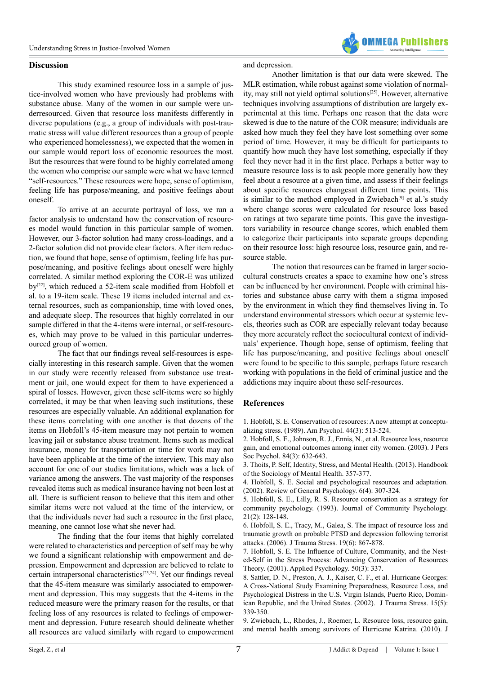

#### **Discussion**

This study examined resource loss in a sample of justice-involved women who have previously had problems with substance abuse. Many of the women in our sample were underresourced. Given that resource loss manifests differently in diverse populations (e.g., a group of individuals with post-traumatic stress will value different resources than a group of people who experienced homelessness), we expected that the women in our sample would report loss of economic resources the most. But the resources that were found to be highly correlated among the women who comprise our sample were what we have termed "self-resources." These resources were hope, sense of optimism, feeling life has purpose/meaning, and positive feelings about oneself.

To arrive at an accurate portrayal of loss, we ran a factor analysis to understand how the conservation of resources model would function in this particular sample of women. However, our 3-factor solution had many cross-loadings, and a 2-factor solution did not provide clear factors. After item reduction, we found that hope, sense of optimism, feeling life has purpose/meaning, and positive feelings about oneself were highly correlated. A similar method exploring the COR-E was utilized by[\[22\]](#page-5-8), which reduced a 52-item scale modified from Hobfoll et al. to a 19-item scale. These 19 items included internal and external resources, such as companionship, time with loved ones, and adequate sleep. The resources that highly correlated in our sample differed in that the 4-items were internal, or self-resources, which may prove to be valued in this particular underresourced group of women.

The fact that our findings reveal self-resources is especially interesting in this research sample. Given that the women in our study were recently released from substance use treatment or jail, one would expect for them to have experienced a spiral of losses. However, given these self-items were so highly correlated, it may be that when leaving such institutions, these resources are especially valuable. An additional explanation for these items correlating with one another is that dozens of the items on Hobfoll's 45-item measure may not pertain to women leaving jail or substance abuse treatment. Items such as medical insurance, money for transportation or time for work may not have been applicable at the time of the interview. This may also account for one of our studies limitations, which was a lack of variance among the answers. The vast majority of the responses revealed items such as medical insurance having not been lost at all. There is sufficient reason to believe that this item and other similar items were not valued at the time of the interview, or that the individuals never had such a resource in the first place, meaning, one cannot lose what she never had.

The finding that the four items that highly correlated were related to characteristics and perception of self may be why we found a significant relationship with empowerment and depression. Empowerment and depression are believed to relate to certain intrapersonal characteristic[s\[23,24\]](#page-5-9). Yet our findings reveal that the 45-item measure was similarly associated to empowerment and depression. This may suggests that the 4-items in the reduced measure were the primary reason for the results, or that feeling loss of any resources is related to feelings of empowerment and depression. Future research should delineate whether all resources are valued similarly with regard to empowerment

#### and depression.

Another limitation is that our data were skewed. The MLR estimation, while robust against some violation of normal-ity, may still not yield optimal solutions<sup>[\[25\]](#page-5-10)</sup>. However, alternative techniques involving assumptions of distribution are largely experimental at this time. Perhaps one reason that the data were skewed is due to the nature of the COR measure; individuals are asked how much they feel they have lost something over some period of time. However, it may be difficult for participants to quantify how much they have lost something, especially if they feel they never had it in the first place. Perhaps a better way to measure resource loss is to ask people more generally how they feel about a resource at a given time, and assess if their feelings about specific resources changesat different time points. This is similar to the method employed in Zwiebach<sup>[9]</sup> et al.'s study where change scores were calculated for resource loss based on ratings at two separate time points. This gave the investigators variability in resource change scores, which enabled them to categorize their participants into separate groups depending on their resource loss: high resource loss, resource gain, and resource stable.

The notion that resources can be framed in larger sociocultural constructs creates a space to examine how one's stress can be influenced by her environment. People with criminal histories and substance abuse carry with them a stigma imposed by the environment in which they find themselves living in. To understand environmental stressors which occur at systemic levels, theories such as COR are especially relevant today because they more accurately reflect the sociocultural context of individuals' experience. Though hope, sense of optimism, feeling that life has purpose/meaning, and positive feelings about oneself were found to be specific to this sample, perhaps future research working with populations in the field of criminal justice and the addictions may inquire about these self-resources.

#### **References**

<span id="page-4-0"></span>[1. Hobfoll, S. E. Conservation of resources: A new attempt at conceptu](http://www.ncbi.nlm.nih.gov/pubmed/2648906)[alizing stress. \(1989\). Am Psychol. 44\(3\): 513-524.](http://www.ncbi.nlm.nih.gov/pubmed/2648906)

<span id="page-4-6"></span>[2. Hobfoll, S. E., Johnson, R. J., Ennis, N., et al. Resource loss, resource](http://www.ncbi.nlm.nih.gov/pubmed/12635922) [gain, and emotional outcomes among inner city women. \(2003\). J Pers](http://www.ncbi.nlm.nih.gov/pubmed/12635922) [Soc Psychol. 84\(3\): 632-643.](http://www.ncbi.nlm.nih.gov/pubmed/12635922) 

<span id="page-4-1"></span>[3. Thoits, P. Self, Identity, Stress, and Mental Health. \(2013\). Handbook](http://link.springer.com/chapter/10.1007/978-94-007-4276-5_18) [of the Sociology of Mental Health. 357-377.](http://link.springer.com/chapter/10.1007/978-94-007-4276-5_18)

<span id="page-4-2"></span>[4. Hobfoll, S. E. Social and psychological resources and adaptation.](http://psycnet.apa.org/index.cfm?fa=buy.optionToBuy&id=2002-06478-001) [\(2002\). Review of General Psychology. 6\(4\): 307-324.](http://psycnet.apa.org/index.cfm?fa=buy.optionToBuy&id=2002-06478-001)

<span id="page-4-3"></span>[5. Hobfoll, S. E., Lilly, R. S. Resource conservation as a strategy for](http://psycnet.apa.org/psycinfo/1993-37500-001) [community psychology. \(1993\). Journal of Community Psychology.](http://psycnet.apa.org/psycinfo/1993-37500-001) [21\(2\): 128-148.](http://psycnet.apa.org/psycinfo/1993-37500-001) 

[6. Hobfoll, S. E., Tracy, M., Galea, S. The impact of resource loss and](http://www.ncbi.nlm.nih.gov/pubmed/17195971) [traumatic growth on probable PTSD and depression following terrorist](http://www.ncbi.nlm.nih.gov/pubmed/17195971) [attacks. \(2006\). J Trauma Stress. 19\(6\): 867-878.](http://www.ncbi.nlm.nih.gov/pubmed/17195971) 

<span id="page-4-5"></span>[7. Hobfoll, S. E. The Influence of Culture, Community, and the Nest](http://onlinelibrary.wiley.com/doi/10.1111/1464-0597.00062/abstract)[ed-Self in the Stress Process: Advancing Conservation of Resources](http://onlinelibrary.wiley.com/doi/10.1111/1464-0597.00062/abstract) [Theory. \(2001\). Applied Psychology. 50\(3\): 337.](http://onlinelibrary.wiley.com/doi/10.1111/1464-0597.00062/abstract) 

[8. Sattler, D. N., Preston, A. J., Kaiser, C. F., et al. Hurricane Georges:](http://www.ncbi.nlm.nih.gov/pubmed/12392221) [A Cross-National Study Examining Preparedness, Resource Loss, and](http://www.ncbi.nlm.nih.gov/pubmed/12392221) [Psychological Distress in the U.S. Virgin Islands, Puerto Rico, Domin](http://www.ncbi.nlm.nih.gov/pubmed/12392221)[ican Republic, and the United States. \(2002\). J Trauma Stress. 15\(5\):](http://www.ncbi.nlm.nih.gov/pubmed/12392221) [339-350.](http://www.ncbi.nlm.nih.gov/pubmed/12392221) 

<span id="page-4-4"></span>[9. Zwiebach, L., Rhodes, J., Roemer, L. Resource loss, resource gain,](http://www.ncbi.nlm.nih.gov/pubmed/21171136) [and mental health among survivors of Hurricane Katrina. \(2010\). J](http://www.ncbi.nlm.nih.gov/pubmed/21171136)